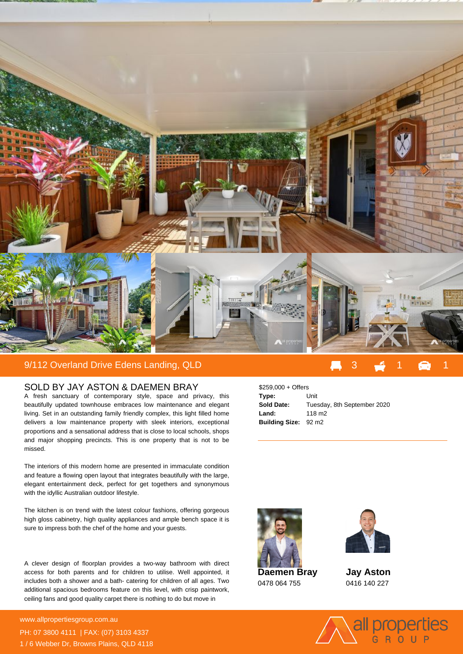

## SOLD BY JAY ASTON & DAEMEN BRAY

A fresh sanctuary of contemporary style, space and privacy, this beautifully updated townhouse embraces low maintenance and elegant living. Set in an outstanding family friendly complex, this light filled home delivers a low maintenance property with sleek interiors, exceptional proportions and a sensational address that is close to local schools, shops and major shopping precincts. This is one property that is not to be missed.

The interiors of this modern home are presented in immaculate condition and feature a flowing open layout that integrates beautifully with the large, elegant entertainment deck, perfect for get togethers and synonymous with the idyllic Australian outdoor lifestyle.

The kitchen is on trend with the latest colour fashions, offering gorgeous high gloss cabinetry, high quality appliances and ample bench space it is sure to impress both the chef of the home and your guests.

A clever design of floorplan provides a two-way bathroom with direct access for both parents and for children to utilise. Well appointed, it includes both a shower and a bath- catering for children of all ages. Two additional spacious bedrooms feature on this level, with crisp paintwork, ceiling fans and good quality carpet there is nothing to do but move in

**For more details please visit** www.allpropertiesgroup.com.au/<br>State of the state of the state of the state of the state of the state of the state of the state of the state o PH: 07 3800 4111 | FAX: (07) 3103 4337 1 / 6 Webber Dr, Browns Plains, QLD 4118

| $$259,000 +$ Offers         |                             |
|-----------------------------|-----------------------------|
| Type:                       | Unit                        |
| Sold Date:                  | Tuesday, 8th September 2020 |
| Land:                       | 118 m <sub>2</sub>          |
| <b>Building Size: 92 m2</b> |                             |



0478 064 755



**Jay Aston** 0416 140 227